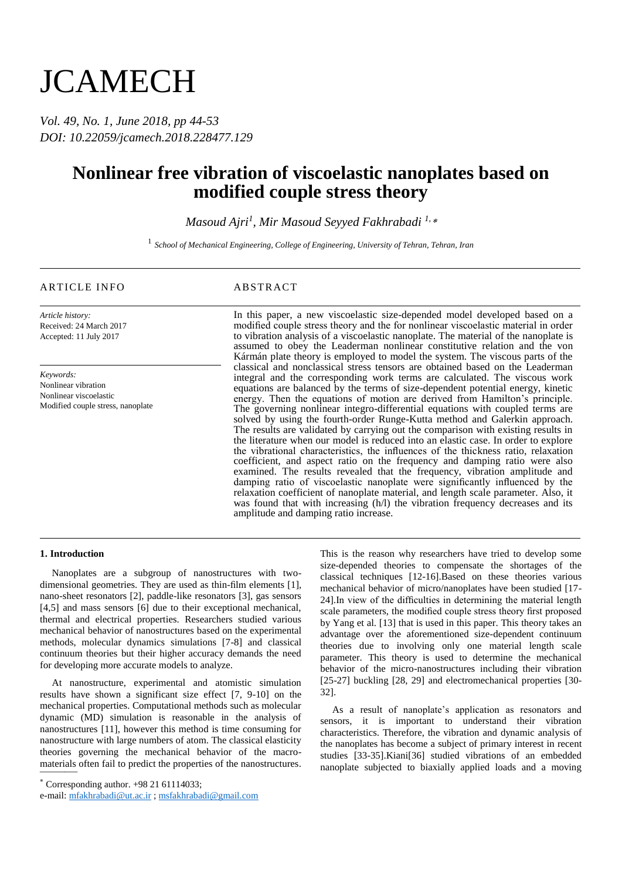# **JCAMECH**

*Vol. 49, No. 1, June 2018, pp 44-53 DOI: 10.22059/jcamech.2018.228477.129*

## **Nonlinear free vibration of viscoelastic nanoplates based on modified couple stress theory**

*Masoud Ajri<sup>1</sup> , Mir Masoud Seyyed Fakhrabadi 1,*\*

1 *School of Mechanical Engineering, College of Engineering, University of Tehran, Tehran, Iran*

### ARTICLE INFO ABSTRACT

*Article history:* Received: 24 March 2017 Accepted: 11 July 2017

*Keywords:* Nonlinear vibration Nonlinear viscoelastic Modified couple stress, nanoplate

In this paper, a new viscoelastic size-depended model developed based on a modified couple stress theory and the for nonlinear viscoelastic material in order to vibration analysis of a viscoelastic nanoplate. The material of the nanoplate is assumed to obey the Leaderman nonlinear constitutive relation and the von Kármán plate theory is employed to model the system. The viscous parts of the classical and nonclassical stress tensors are obtained based on the Leaderman integral and the corresponding work terms are calculated. The viscous work equations are balanced by the terms of size-dependent potential energy, kinetic energy. Then the equations of motion are derived from Hamilton's principle. The governing nonlinear integro-differential equations with coupled terms are solved by using the fourth-order Runge-Kutta method and Galerkin approach. The results are validated by carrying out the comparison with existing results in the literature when our model is reduced into an elastic case. In order to explore the vibrational characteristics, the influences of the thickness ratio, relaxation coefficient, and aspect ratio on the frequency and damping ratio were also examined. The results revealed that the frequency, vibration amplitude and damping ratio of viscoelastic nanoplate were significantly influenced by the relaxation coefficient of nanoplate material, and length scale parameter. Also, it was found that with increasing (h/l) the vibration frequency decreases and its amplitude and damping ratio increase.

#### **1. Introduction**

Nanoplates are a subgroup of nanostructures with twodimensional geometries. They are used as thin-film elements [1], nano-sheet resonators [2], paddle-like resonators [3], gas sensors [4,5] and mass sensors [6] due to their exceptional mechanical, thermal and electrical properties. Researchers studied various mechanical behavior of nanostructures based on the experimental methods, molecular dynamics simulations [7-8] and classical continuum theories but their higher accuracy demands the need for developing more accurate models to analyze.

materials often fail to predict the properties of the nanostructures. At nanostructure, experimental and atomistic simulation results have shown a significant size effect [7, 9-10] on the mechanical properties. Computational methods such as molecular dynamic (MD) simulation is reasonable in the analysis of nanostructures [11], however this method is time consuming for nanostructure with large numbers of atom. The classical elasticity theories governing the mechanical behavior of the macro-

This is the reason why researchers have tried to develop some size-depended theories to compensate the shortages of the classical techniques [12-16].Based on these theories various mechanical behavior of micro/nanoplates have been studied [17- 24].In view of the difficulties in determining the material length scale parameters, the modified couple stress theory first proposed by Yang et al. [13] that is used in this paper. This theory takes an advantage over the aforementioned size-dependent continuum theories due to involving only one material length scale parameter. This theory is used to determine the mechanical behavior of the micro-nanostructures including their vibration [25-27] buckling [28, 29] and electromechanical properties [30- 32].

As a result of nanoplate's application as resonators and sensors, it is important to understand their vibration characteristics. Therefore, the vibration and dynamic analysis of the nanoplates has become a subject of primary interest in recent studies [33-35].Kiani[36] studied vibrations of an embedded nanoplate subjected to biaxially applied loads and a moving

 $*$  Corresponding author.  $+98$  21 61114033;

e-mail: mfakhrabadi@ut.ac.ir ; msfakhrabadi@gmail.com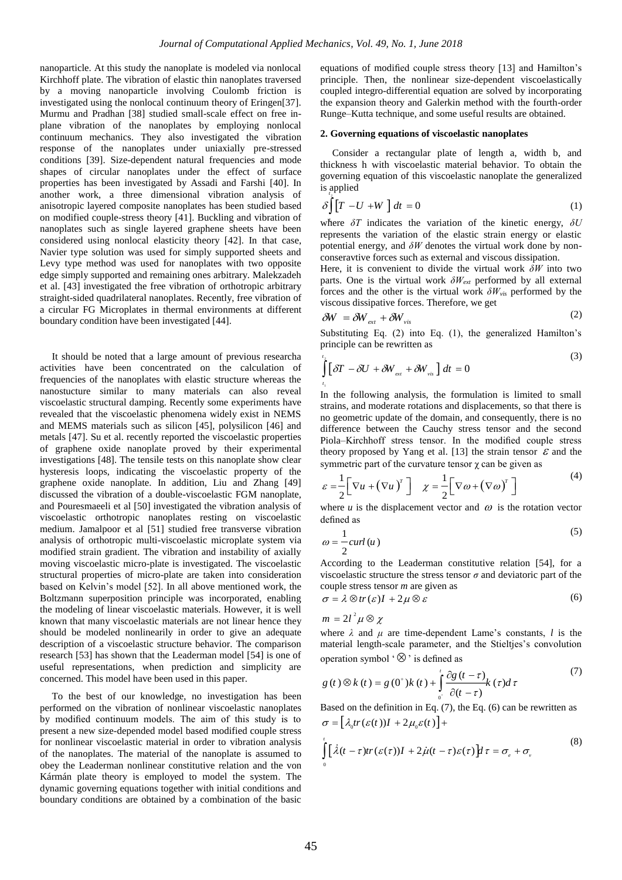nanoparticle. At this study the nanoplate is modeled via nonlocal Kirchhoff plate. The vibration of elastic thin nanoplates traversed by a moving nanoparticle involving Coulomb friction is investigated using the nonlocal continuum theory of Eringen[37]. Murmu and Pradhan [38] studied small-scale effect on free inplane vibration of the nanoplates by employing nonlocal continuum mechanics. They also investigated the vibration response of the nanoplates under uniaxially pre-stressed conditions [39]. Size-dependent natural frequencies and mode shapes of circular nanoplates under the effect of surface properties has been investigated by Assadi and Farshi [40]. In another work, a three dimensional vibration analysis of anisotropic layered composite nanoplates has been studied based on modified couple-stress theory [41]. Buckling and vibration of nanoplates such as single layered graphene sheets have been considered using nonlocal elasticity theory [42]. In that case, Navier type solution was used for simply supported sheets and Levy type method was used for nanoplates with two opposite edge simply supported and remaining ones arbitrary. Malekzadeh et al. [43] investigated the free vibration of orthotropic arbitrary straight-sided quadrilateral nanoplates. Recently, free vibration of a circular FG Microplates in thermal environments at different boundary condition have been investigated [44].

It should be noted that a large amount of previous researcha activities have been concentrated on the calculation of frequencies of the nanoplates with elastic structure whereas the nanostucture similar to many materials can also reveal viscoelastic structural damping. Recently some experiments have revealed that the viscoelastic phenomena widely exist in NEMS and MEMS materials such as silicon [45], polysilicon [46] and metals [47]. Su et al. recently reported the viscoelastic properties of graphene oxide nanoplate proved by their experimental investigations [48]. The tensile tests on this nanoplate show clear hysteresis loops, indicating the viscoelastic property of the graphene oxide nanoplate. In addition, Liu and Zhang [49] discussed the vibration of a double-viscoelastic FGM nanoplate, and Pouresmaeeli et al [50] investigated the vibration analysis of viscoelastic orthotropic nanoplates resting on viscoelastic medium. Jamalpoor et al [51] studied free transverse vibration analysis of orthotropic multi-viscoelastic microplate system via modified strain gradient. The vibration and instability of axially moving viscoelastic micro-plate is investigated. The viscoelastic structural properties of micro-plate are taken into consideration based on Kelvin's model [52]. In all above mentioned work, the Boltzmann superposition principle was incorporated, enabling the modeling of linear viscoelastic materials. However, it is well known that many viscoelastic materials are not linear hence they should be modeled nonlinearily in order to give an adequate description of a viscoelastic structure behavior. The comparison research [53] has shown that the Leaderman model [54] is one of useful representations, when prediction and simplicity are concerned. This model have been used in this paper.

To the best of our knowledge, no investigation has been performed on the vibration of nonlinear viscoelastic nanoplates by modified continuum models. The aim of this study is to present a new size-depended model based modified couple stress for nonlinear viscoelastic material in order to vibration analysis of the nanoplates. The material of the nanoplate is assumed to obey the Leaderman nonlinear constitutive relation and the von Kármán plate theory is employed to model the system. The dynamic governing equations together with initial conditions and boundary conditions are obtained by a combination of the basic equations of modified couple stress theory [13] and Hamilton's principle. Then, the nonlinear size-dependent viscoelastically coupled integro-differential equation are solved by incorporating the expansion theory and Galerkin method with the fourth-order Runge–Kutta technique, and some useful results are obtained.

#### **2. Governing equations of viscoelastic nanoplates**

Consider a rectangular plate of length a, width b, and thickness h with viscoelastic material behavior. To obtain the governing equation of this viscoelastic nanoplate the generalized is applied *t*

$$
\delta \int \left[ T - U + W \right] dt = 0 \tag{1}
$$

where  $\delta T$  indicates the variation of the kinetic energy,  $\delta U$ represents the variation of the elastic strain energy or elastic potential energy, and *δW* denotes the virtual work done by nonconseravtive forces such as external and viscous dissipation.

Here, it is convenient to divide the virtual work *δW* into two parts. One is the virtual work *δWext* performed by all external forces and the other is the virtual work *δWvis* performed by the viscous dissipative forces. Therefore, we get

$$
\delta W = \delta W_{\text{ext}} + \delta W_{\text{vis}} \tag{2}
$$

Substituting Eq. (2) into Eq. (1), the generalized Hamilton's principle can be rewritten as  $(3)$ 

$$
\int_{t}^{t} \left[ \delta T - \delta U + \delta W_{ext} + \delta W_{vis} \right] dt = 0
$$

In the following analysis, the formulation is limited to small strains, and moderate rotations and displacements, so that there is no geometric update of the domain, and consequently, there is no difference between the Cauchy stress tensor and the second Piola–Kirchhoff stress tensor. In the modified couple stress theory proposed by Yang et al. [13] the strain tensor  $\mathcal E$  and the symmetric part of the curvature tensor  $\gamma$  can be given as

$$
\varepsilon = \frac{1}{2} \Big[ \nabla u + (\nabla u)^{T} \Big] \quad \chi = \frac{1}{2} \Big[ \nabla \omega + (\nabla \omega)^{T} \Big]
$$
 (4)

where  $u$  is the displacement vector and  $\omega$  is the rotation vector defined as

$$
\omega = \frac{1}{2} \operatorname{curl} \left( u \right) \tag{5}
$$

According to the Leaderman constitutive relation [54], for a viscoelastic structure the stress tensor  $\sigma$  and deviatoric part of the couple stress tensor *m* are given as

$$
\sigma = \lambda \otimes tr(\varepsilon)I + 2\mu \otimes \varepsilon \tag{6}
$$

$$
m=2l^2\mu\otimes\chi
$$

where  $\lambda$  and  $\mu$  are time-dependent Lame's constants, *l* is the material length-scale parameter, and the Stieltjes's convolution

operation symbol ' 
$$
\otimes
$$
' is defined as  
\n
$$
g(t) \otimes k(t) = g(0^+)k(t) + \int_{0^+}^{t} \frac{\partial g(t-\tau)}{\partial(t-\tau)} k(\tau) d\tau
$$
\n(7)

Based on the definition in Eq. (7), the Eq. (6) can be rewritten as Based on the definition in Eq. (7), the<br>  $\sigma = \left[ \lambda_0 tr(\varepsilon(t))I + 2\mu_0 \varepsilon(t) \right] +$ 

$$
\int_{0}^{t} \left[ \dot{\lambda}(t-\tau)tr(\varepsilon(\tau))I + 2\dot{\mu}(t-\tau)\varepsilon(\tau) \right] d\tau = \sigma_{\varepsilon} + \sigma_{\nu}
$$
\n(8)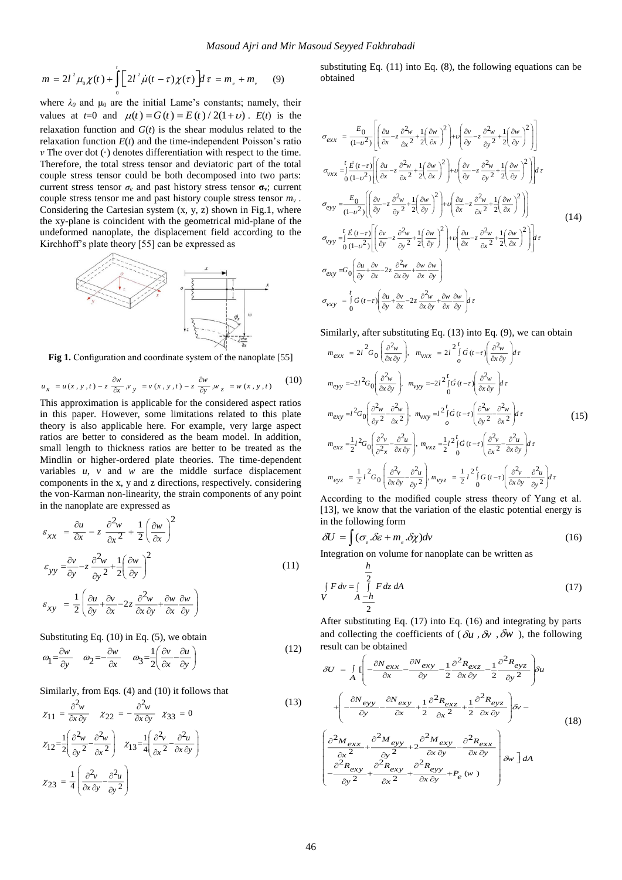$$
m = 2l^{2} \mu_{0} \chi(t) + \int_{0}^{t} \left[ 2l^{2} \dot{\mu}(t - \tau) \chi(\tau) \right] d\tau = m_{e} + m_{v} \qquad (9)
$$

where  $\lambda_0$  and  $\mu_0$  are the initial Lame's constants; namely, their values at  $t=0$  and  $\mu(t) = G(t) = E(t)/2(1+v)$ .  $E(t)$  is the relaxation function and *G*(*t*) is the shear modulus related to the relaxation function  $E(t)$  and the time-independent Poisson's ratio *ν* The over dot (·) denotes differentiation with respect to the time. Therefore, the total stress tensor and deviatoric part of the total couple stress tensor could be both decomposed into two parts: current stress tensor  $\sigma_e$  and past history stress tensor  $\sigma_v$ ; current couple stress tensor me and past history couple stress tensor *m<sup>v</sup> .* Considering the Cartesian system (x, y, z) shown in Fig.1, where the xy-plane is coincident with the geometrical mid-plane of the undeformed nanoplate, the displacement field according to the Kirchhoff's plate theory [55] can be expressed as



Fig 1. Configuration and coordinate system of the nanoplate [55]

$$
u_x = u(x, y, t) - z \frac{\partial w}{\partial x}, v_y = v(x, y, t) - z \frac{\partial w}{\partial y}, w_z = w(x, y, t)
$$
 (10)

This approximation is applicable for the considered aspect ratios in this paper. However, some limitations related to this plate theory is also applicable here. For example, very large aspect ratios are better to considered as the beam model. In addition, small length to thickness ratios are better to be treated as the Mindlin or higher-ordered plate theories. The time-dependent variables *u*, *v* and *w* are the middle surface displacement components in the x, y and z directions, respectively. considering the von-Karman non-linearity, the strain components of any point in the nanoplate are expressed as

$$
\varepsilon_{xx} = \frac{\partial u}{\partial x} - z \frac{\partial^2 w}{\partial x^2} + \frac{1}{2} \left( \frac{\partial w}{\partial x} \right)^2
$$
  

$$
\varepsilon_{yy} = \frac{\partial v}{\partial y} - z \frac{\partial^2 w}{\partial y^2} + \frac{1}{2} \left( \frac{\partial w}{\partial y} \right)^2
$$
  

$$
\varepsilon_{xy} = \frac{1}{2} \left( \frac{\partial u}{\partial y} + \frac{\partial v}{\partial x} - 2z \frac{\partial^2 w}{\partial x \partial y} + \frac{\partial w}{\partial x} \frac{\partial w}{\partial y} \right)
$$
 (11)

Substituting Eq. (10) in Eq. (5), we obtain

$$
\omega_1 = \frac{\partial w}{\partial y} \qquad \omega_2 = -\frac{\partial w}{\partial x} \qquad \omega_3 = \frac{1}{2} \left( \frac{\partial v}{\partial x} - \frac{\partial u}{\partial y} \right) \tag{12}
$$

Similarly, from Eqs. (4) and (10) it follows that

$$
\chi_{11} = \frac{\partial^2 w}{\partial x \partial y} \qquad \chi_{22} = -\frac{\partial^2 w}{\partial x \partial y} \qquad \chi_{33} = 0
$$
\n
$$
\chi_{12} = \frac{1}{2} \left( \frac{\partial^2 w}{\partial y^2} - \frac{\partial^2 w}{\partial x^2} \right) \qquad \chi_{13} = \frac{1}{4} \left( \frac{\partial^2 v}{\partial x^2} - \frac{\partial^2 u}{\partial x \partial y} \right)
$$
\n
$$
\chi_{23} = \frac{1}{4} \left( \frac{\partial^2 v}{\partial x \partial y} - \frac{\partial^2 u}{\partial y^2} \right)
$$
\n(13)

substituting Eq. (11) into Eq. (8), the following equations can be obtained

$$
\sigma_{exx} = \frac{E_0}{(1-v^2)} \left[ \left( \frac{\partial u}{\partial x} - z \frac{\partial^2 w}{\partial x^2} + \frac{1}{2} \left( \frac{\partial w}{\partial x} \right)^2 \right) + \nu \left( \frac{\partial v}{\partial y} - z \frac{\partial^2 w}{\partial y^2} + \frac{1}{2} \left( \frac{\partial w}{\partial y} \right)^2 \right) \right]
$$
\n
$$
\sigma_{vxx} = \int_0^t \frac{E(t-\tau)}{(1-v^2)} \left[ \left( \frac{\partial u}{\partial x} - z \frac{\partial^2 w}{\partial x^2} + \frac{1}{2} \left( \frac{\partial w}{\partial x} \right)^2 \right) + \nu \left( \frac{\partial v}{\partial y} - z \frac{\partial^2 w}{\partial y^2} + \frac{1}{2} \left( \frac{\partial w}{\partial y} \right)^2 \right) \right] d\tau
$$
\n
$$
\sigma_{eyy} = \frac{E_0}{(1-v^2)} \left[ \left( \frac{\partial v}{\partial y} - z \frac{\partial^2 w}{\partial y^2} + \frac{1}{2} \left( \frac{\partial w}{\partial y} \right)^2 \right) + \nu \left( \frac{\partial u}{\partial x} - z \frac{\partial^2 w}{\partial x^2} + \frac{1}{2} \left( \frac{\partial w}{\partial x} \right)^2 \right) \right]
$$
\n
$$
\sigma_{vyy} = \int_0^t \frac{E(t-\tau)}{(1-v^2)} \left[ \left( \frac{\partial v}{\partial y} - z \frac{\partial^2 w}{\partial y^2} + \frac{1}{2} \left( \frac{\partial w}{\partial y} \right)^2 \right) + \nu \left( \frac{\partial u}{\partial x} - z \frac{\partial^2 w}{\partial x^2} + \frac{1}{2} \left( \frac{\partial w}{\partial x} \right)^2 \right) \right] d\tau
$$
\n
$$
\sigma_{exy} = G_0 \left( \frac{\partial u}{\partial y} + \frac{\partial v}{\partial x} - 2z \frac{\partial^2 w}{\partial x \partial y} + \frac{\partial w}{\partial x} \frac{\partial w}{\partial y} \right)
$$
\n
$$
\sigma_{vxy} = \int_0^t G(t-\tau) \left( \frac{\partial u}{\partial y} + \frac{\partial v}{\partial x} - 2z \frac{\
$$

Similarly, after substituting Eq. (13) into Eq. (9), we can obtain

$$
m_{exx} = 2t^2 G_0 \left(\frac{\partial^2 w}{\partial x \partial y}\right), \quad m_{vxx} = 2t^2 \int_0^t \dot{G} (t-\tau) \left(\frac{\partial^2 w}{\partial x \partial y}\right) d\tau
$$
\n
$$
m_{eyy} = -2t^2 G_0 \left(\frac{\partial^2 w}{\partial x \partial y}\right), \quad m_{vyy} = -2t^2 \int_0^t \dot{G} (t-\tau) \left(\frac{\partial^2 w}{\partial x \partial y}\right) d\tau
$$
\n
$$
m_{exy} = t^2 G_0 \left(\frac{\partial^2 w}{\partial y^2} - \frac{\partial^2 w}{\partial x^2}\right), \quad m_{vxy} = t^2 \int_0^t \dot{G} (t-\tau) \left(\frac{\partial^2 w}{\partial y^2} - \frac{\partial^2 w}{\partial x^2}\right) d\tau
$$
\n
$$
m_{exz} = \frac{1}{2}t^2 G_0 \left(\frac{\partial^2 v}{\partial x^2} - \frac{\partial^2 u}{\partial x \partial y}\right), \quad m_{vxz} = \frac{1}{2}t^2 \int_0^t \dot{G} (t-\tau) \left(\frac{\partial^2 v}{\partial x^2} - \frac{\partial^2 u}{\partial x \partial y}\right) d\tau
$$
\n
$$
m_{eyz} = \frac{1}{2}t^2 G_0 \left(\frac{\partial^2 v}{\partial x \partial y} - \frac{\partial^2 u}{\partial y^2}\right), \quad m_{vyz} = \frac{1}{2}t^2 \int_0^t G (t-\tau) \left(\frac{\partial^2 v}{\partial x \partial y} - \frac{\partial^2 u}{\partial y^2}\right) d\tau
$$
\n(15)

According to the modified couple stress theory of Yang et al. [13], we know that the variation of the elastic potential energy is in the following form

$$
\delta U = \int (\sigma_e \delta \varepsilon + m_e \delta \chi) dv \tag{16}
$$

Integration on volume for nanoplate can be written as *h*

$$
\int_{V} F dv = \int_{A} \frac{1}{2} F dz dA
$$
\n(17)

After substituting Eq. (17) into Eq. (16) and integrating by parts and collecting the coefficients of ( $\delta u$ ,  $\delta v$ ,  $\delta w$ ), the following result can be obtained

$$
\delta U = \int_{A} \left[ -\frac{\partial N_{exx}}{\partial x} - \frac{\partial N_{exy}}{\partial y} - \frac{1}{2} \frac{\partial^{2} R_{exz}}{\partial x \partial y} - \frac{1}{2} \frac{\partial^{2} R_{eyz}}{\partial y^{2}} \right] \delta u
$$
  
+ 
$$
\left( -\frac{\partial N_{eyy}}{\partial y} - \frac{\partial N_{exy}}{\partial x} + \frac{1}{2} \frac{\partial^{2} R_{exz}}{\partial x^{2}} + \frac{1}{2} \frac{\partial^{2} R_{eyz}}{\partial x \partial y} \right) \delta v -
$$
  

$$
\left( \frac{\partial^{2} M_{exx}}{\partial x^{2}} + \frac{\partial^{2} M_{eyy}}{\partial y^{2}} + 2 \frac{\partial^{2} M_{exy}}{\partial x \partial y} - \frac{\partial^{2} R_{exx}}{\partial x \partial y} \right) \delta w -
$$
  

$$
\left( \frac{\partial^{2} N_{exx}}{\partial x^{2}} + \frac{\partial^{2} N_{exy}}{\partial y^{2}} + 2 \frac{\partial^{2} N_{exy}}{\partial x \partial y} - \frac{\partial^{2} R_{exx}}{\partial x \partial y} \right) \delta w \right] dA
$$
  
(18)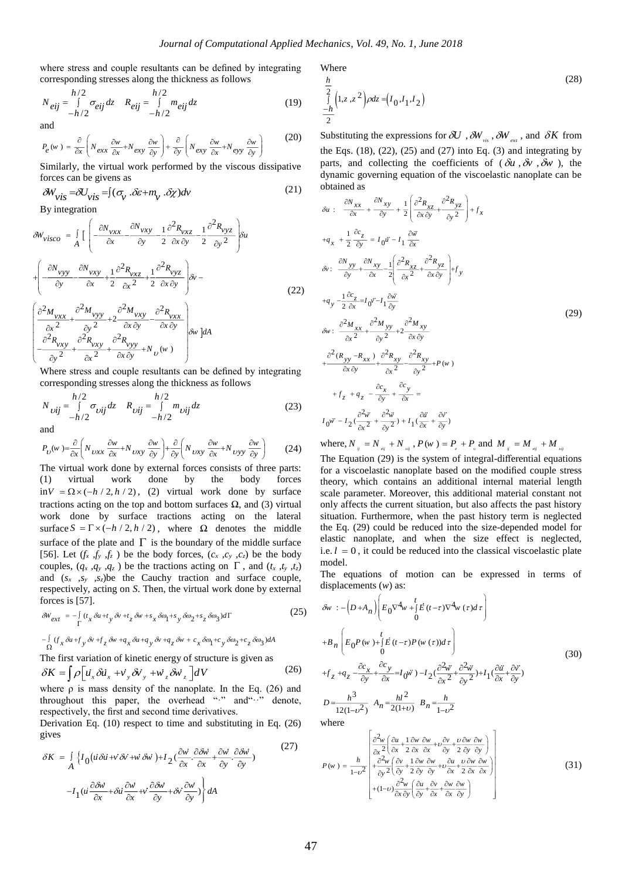where stress and couple resultants can be defined by integrating corresponding stresses along the thickness as follows

$$
N_{eij} = \int_{-h/2}^{h/2} \sigma_{eij} dz \qquad R_{eij} = \int_{-h/2}^{h/2} m_{eij} dz \qquad (19)
$$

and

$$
P_e(w) = \frac{\partial}{\partial x} \left( N_{exx} \frac{\partial w}{\partial x} + N_{exy} \frac{\partial w}{\partial y} \right) + \frac{\partial}{\partial y} \left( N_{exy} \frac{\partial w}{\partial x} + N_{eyy} \frac{\partial w}{\partial y} \right)
$$
(20)

Similarly, the virtual work performed by the viscous dissipative forces can be givens as

$$
\delta W_{\nu i s} = \delta U_{\nu i s} = \int (\sigma_v \cdot \delta \varepsilon + m_v \cdot \delta \chi) dv \tag{21}
$$

By integration

$$
\delta W_{visco} = \int_{A} \left[ \left( -\frac{\partial N_{vxx}}{\partial x} - \frac{\partial N_{vxy}}{\partial y} - \frac{1}{2} \frac{\partial^{2} R_{vxz}}{\partial x \partial y} - \frac{1}{2} \frac{\partial^{2} R_{vyz}}{\partial y^{2}} \right) \delta u \right]
$$
  
+ 
$$
\left( -\frac{\partial N_{vyy}}{\partial y} - \frac{\partial N_{vxy}}{\partial x} + \frac{1}{2} \frac{\partial^{2} R_{vxz}}{\partial x^{2}} + \frac{1}{2} \frac{\partial^{2} R_{vyz}}{\partial x \partial y} \right) \delta v -
$$
  

$$
\left( \frac{\partial^{2} M_{vxx}}{\partial x^{2}} + \frac{\partial^{2} M_{vyy}}{\partial y^{2}} + 2 \frac{\partial^{2} M_{vxy}}{\partial x \partial y} - \frac{\partial^{2} R_{vxx}}{\partial x \partial y} \right) \delta w \right] dA
$$
  

$$
- \frac{\partial^{2} R_{vxy}}{\partial y^{2}} + \frac{\partial^{2} R_{vxy}}{\partial x^{2}} + \frac{\partial^{2} R_{vyy}}{\partial x \partial y} + N_{U}(w)
$$

Where stress and couple resultants can be defined by integrating corresponding stresses along the thickness as follows

$$
N_{\text{Uij}} = \int_{-h/2}^{h/2} \sigma_{\text{Uij}} dz \quad R_{\text{Uij}} = \int_{-h/2}^{h/2} m_{\text{Uij}} dz \tag{23}
$$

and

$$
P_U(w) = \frac{\partial}{\partial x} \left( N_{UXX} \frac{\partial w}{\partial x} + N_{UXY} \frac{\partial w}{\partial y} \right) + \frac{\partial}{\partial y} \left( N_{UXY} \frac{\partial w}{\partial x} + N_{UYY} \frac{\partial w}{\partial y} \right)
$$
(24)

The virtual work done by external forces consists of three parts: (1) virtual work done by the body forces  $\int \sin V = \Omega \times (-h/2, h/2)$ , (2) virtual work done by surface tractions acting on the top and bottom surfaces Ω*,* and (3) virtual work done by surface tractions acting on the lateral surface  $S = \Gamma \times (-h/2, h/2)$ , where  $\Omega$  denotes the middle surface of the plate and  $\Gamma$  is the boundary of the middle surface [56]. Let  $(f_x, f_y, f_z)$  be the body forces,  $(c_x, c_y, c_z)$  be the body couples,  $(q_x, q_y, q_z)$  be the tractions acting on  $\Gamma$ , and  $(t_x, t_y, t_z)$ and  $(s_x, s_y, s_z)$  be the Cauchy traction and surface couple, respectively, acting on *S*. Then, the virtual work done by external forces is [57].

For 
$$
S = \frac{15}{\Gamma} \int_{\Gamma} \int_{0}^{2\pi} (t_x \delta u + t_y \delta v + t_z \delta w + s_x \delta \omega_1 + s_y \delta \omega_2 + s_z \delta \omega_3) d\Gamma
$$

\n(25)

$$
-\int_{\Omega} (f_x \delta u + f_y \delta v + f_z \delta w + q_x \delta u + q_y \delta v + q_z \delta w + c_x \delta \omega_1 + c_y \delta \omega_2 + c_z \delta \omega_3) dA
$$
  
The first variation of kinetic energy of structure is given as  

$$
\delta K = \int \rho \left[ \vec{u}_x \delta \vec{u}_x + \vec{v}_y \delta \vec{v}_y + \vec{w}_z \delta \vec{w}_z \right] dV
$$
(26)

where  $\rho$  is mass density of the nanoplate. In the Eq. (26) and throughout this paper, the overhead "·" and "··" denote, respectively, the first and second time derivatives.

Derivation Eq. (10) respect to time and substituting in Eq. (26) gives  $(27)$ 

$$
\delta K = \int_{A} \left\{ I_0 \left( \vec{u} \, \delta \vec{u} + \vec{v} \, \delta \vec{v} + \vec{w} \, \delta \vec{w} \right) + I_2 \left( \frac{\partial \vec{w}}{\partial x} \cdot \frac{\partial \delta \vec{w}}{\partial x} + \frac{\partial \vec{w}}{\partial y} \cdot \frac{\partial \delta \vec{w}}{\partial y} \right) \right\}
$$
\n
$$
- I_1 \left( \vec{u} \, \frac{\partial \delta \vec{w}}{\partial x} + \delta \vec{u} \, \frac{\partial \vec{w}}{\partial x} + \vec{v} \, \frac{\partial \delta \vec{w}}{\partial y} + \delta \vec{v} \, \frac{\partial \vec{w}}{\partial y} \right) \right\} dA
$$
\n(21)

Where

$$
\frac{\frac{h}{2}}{\frac{1}{2}} \left( 1, z, z^2 \right) \rho dz = \left( I_0, I_1, I_2 \right)
$$
\n<sup>(28)</sup>

Substituting the expressions for  $\partial U$ ,  $\partial W_{\nu i}$ ,  $\partial W_{\nu x}$ , and  $\partial K$  from the Eqs.  $(18)$ ,  $(22)$ ,  $(25)$  and  $(27)$  into Eq.  $(3)$  and integrating by parts, and collecting the coefficients of  $(\delta u, \delta v, \delta w)$ , the dynamic governing equation of the viscoelastic nanoplate can be obtained as

$$
\delta u : \frac{\partial N_{xx}}{\partial x} + \frac{\partial N_{xy}}{\partial y} + \frac{1}{2} \left( \frac{\partial^2 R_{xz}}{\partial x \partial y} + \frac{\partial^2 R_{yz}}{\partial y^2} \right) + f_x
$$
  
\n
$$
+q_x + \frac{1}{2} \frac{\partial c_z}{\partial y} = I_0 \ddot{u} - I_1 \frac{\partial \ddot{w}}{\partial x}
$$
  
\n
$$
\delta v : \frac{\partial N_{yy}}{\partial y} + \frac{\partial N_{xy}}{\partial x} - \frac{1}{2} \left( \frac{\partial^2 R_{xz}}{\partial x^2} + \frac{\partial^2 R_{yz}}{\partial x \partial y} \right) + f_y
$$
  
\n
$$
+q_y - \frac{1}{2} \frac{\partial c_z}{\partial x} = I_0 \ddot{v} - I_1 \frac{\partial \dddot{w}}{\partial y}
$$
  
\n
$$
\delta w : \frac{\partial^2 M_{xx}}{\partial x^2} + \frac{\partial^2 M_{yy}}{\partial y^2} + 2 \frac{\partial^2 M_{xy}}{\partial x \partial y}
$$
  
\n
$$
+ \frac{\partial^2 (R_{yy} - R_{xx})}{\partial x \partial y} + \frac{\partial^2 R_{xy}}{\partial x^2} - \frac{\partial^2 R_{xy}}{\partial y^2} + P(w)
$$
  
\n
$$
+ f_z + q_z - \frac{\partial c_x}{\partial y} + \frac{\partial c_y}{\partial x} =
$$
  
\n
$$
I_0 \ddot{w} - I_2 \left( \frac{\partial^2 \ddot{w}}{\partial x^2} + \frac{\partial^2 \ddot{w}}{\partial y^2} \right) + I_1 \left( \frac{\partial \ddot{u}}{\partial x} + \frac{\partial \dddot{v}}{\partial y} \right)
$$

where,  $N_{ij} = N_{ij} + N_{ij}$ ,  $P(w) = P_{e} + P_{v}$  and  $M_{ij} = M_{ij} + M_{ij}$ 

The Equation (29) is the system of integral-differential equations for a viscoelastic nanoplate based on the modified couple stress theory, which contains an additional internal material length scale parameter. Moreover, this additional material constant not only affects the current situation, but also affects the past history situation. Furthermore, when the past history term is neglected the Eq. (29) could be reduced into the size-depended model for elastic nanoplate, and when the size effect is neglected, i.e.  $l = 0$ , it could be reduced into the classical viscoelastic plate model.

The equations of motion can be expressed in terms of displacements (*w*) as:

$$
\delta w : -\left(D + A_n\right) \left(E_0 \nabla^4 w + \int_0^t \vec{E}(t-\tau) \nabla^4 w(\tau) d\tau\right)
$$
\n
$$
+ B_n \left(E_0 P(w) + \int_0^t \vec{E}(t-\tau) P(w(\tau)) d\tau\right)
$$
\n
$$
+ f_z + q_z - \frac{\partial c_x}{\partial y} + \frac{\partial c_y}{\partial x} = I_0 \vec{w} \ - I_2 \left(\frac{\partial^2 \vec{w}}{\partial x^2} + \frac{\partial^2 \vec{w}}{\partial y^2}\right) + I_1 \left(\frac{\partial \vec{u}}{\partial x} + \frac{\partial \vec{v}}{\partial y}\right)
$$
\n
$$
D = \frac{h^3}{12(1-\nu^2)} A_n = \frac{hl^2}{2(1+\nu)} B_n = \frac{h}{1-\nu^2}
$$
\nwhere

\n
$$
Q = \frac{h^3}{12(1-\nu^2)} A_n = \frac{hl^2}{2(1+\nu)} B_n = \frac{h}{1-\nu^2}
$$
\nwhere

where

$$
P(w) = \frac{h}{1 - v^2} \begin{bmatrix} \frac{\partial^2 w}{\partial x^2} \left( \frac{\partial u}{\partial x} + \frac{1}{2} \frac{\partial w}{\partial x} \frac{\partial w}{\partial x} + v \frac{\partial v}{\partial y} + \frac{\partial w}{2} \frac{\partial w}{\partial y} \frac{\partial w}{\partial y} \right) \\ + \frac{\partial^2 w}{\partial y^2} \left( \frac{\partial v}{\partial y} + \frac{1}{2} \frac{\partial w}{\partial y} \frac{\partial w}{\partial y} + v \frac{\partial u}{\partial x} + \frac{\partial w}{2} \frac{\partial w}{\partial x} \frac{\partial w}{\partial x} \right) \\ + (1 - v) \frac{\partial^2 w}{\partial x \partial y} \left( \frac{\partial u}{\partial y} + \frac{\partial v}{\partial x} + \frac{\partial w}{\partial x} \frac{\partial w}{\partial y} \right) \end{bmatrix}
$$
(31)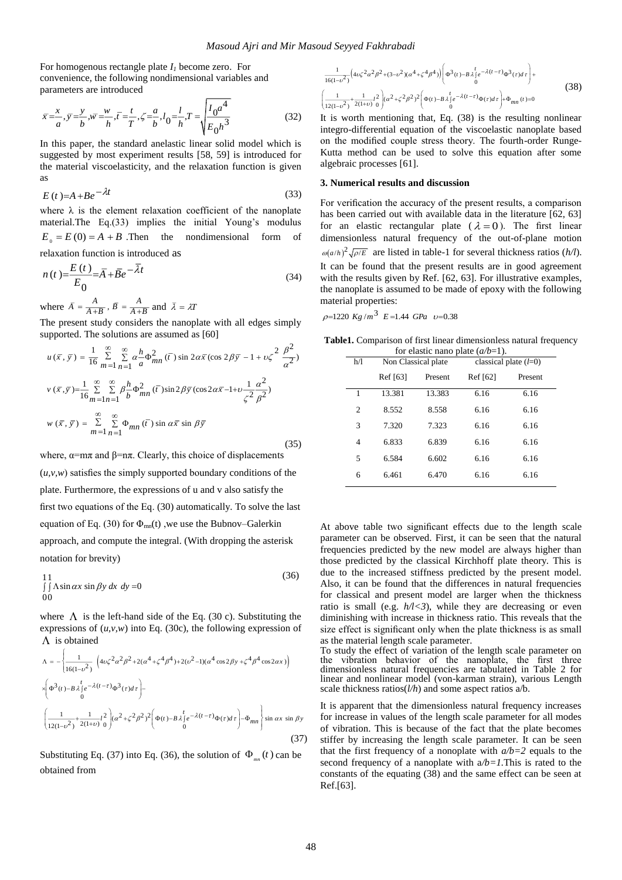For homogenous rectangle plate *I<sup>1</sup>* become zero. For convenience, the following nondimensional variables and parameters are introduced

$$
\bar{x} = \frac{x}{a}, \bar{y} = \frac{y}{b}, \bar{w} = \frac{w}{h}, \bar{t} = \frac{t}{T}, \zeta = \frac{a}{b}, l_0 = \frac{l}{h}, T = \sqrt{\frac{l_0 a^4}{E_0 h^3}}
$$
(32)

In this paper, the standard anelastic linear solid model which is suggested by most experiment results [58, 59] is introduced for the material viscoelasticity, and the relaxation function is given as

$$
E(t)=A+Be^{-\lambda t}
$$
\n(33)

where  $\lambda$  is the element relaxation coefficient of the nanoplate material.The Eq.(33) implies the initial Young's modulus  $E_0 = E(0) = A + B$ . Then the nondimensional form of relaxation function is introduced as

$$
n(t) = \frac{E(t)}{E_0} = \overline{A} + \overline{B}e^{-\overline{\lambda}t}
$$
\n(34)

where  $\overline{A} = \frac{A}{A+B}$ ,  $\overline{B} = \frac{A}{A+B}$  and  $\overline{\lambda} = \lambda T$ 

The present study considers the nanoplate with all edges simply supported. The solutions are assumed as [60]

$$
u(\bar{x}, \bar{y}) = \frac{1}{16} \sum_{m=1}^{\infty} \sum_{n=1}^{\infty} \alpha \frac{h}{a} \Phi_{mn}^{2}(\bar{t}) \sin 2\alpha \bar{x} (\cos 2\beta \bar{y} - 1 + \nu \zeta^{2} \frac{\beta^{2}}{\alpha^{2}})
$$
  

$$
v(\bar{x}, \bar{y}) = \frac{1}{16} \sum_{m=1}^{\infty} \sum_{n=1}^{\infty} \beta \frac{h}{b} \Phi_{mn}^{2}(\bar{t}) \sin 2\beta \bar{y} (\cos 2\alpha \bar{x} - 1 + \nu \frac{1}{\zeta^{2}} \frac{\alpha^{2}}{\beta^{2}})
$$
  

$$
w(\bar{x}, \bar{y}) = \sum_{m=1}^{\infty} \sum_{n=1}^{\infty} \Phi_{mn}(\bar{t}) \sin \alpha \bar{x} \sin \beta \bar{y}
$$
(35)

where,  $\alpha = m\pi$  and  $\beta = n\pi$ . Clearly, this choice of displacements  $(u, v, w)$  satisfies the simply supported boundary conditions of the plate. Furthermore, the expressions of u and v also satisfy the first two equations of the Eq. (30) automatically. To solve the last equation of Eq. (30) for  $\Phi_{mn}(t)$ , we use the Bubnov–Galerkin approach, and compute the integral. (With dropping the asterisk notation for brevity)

$$
\iint \Lambda \sin \alpha x \sin \beta y \, dx \, dy = 0
$$
\n
$$
00 \tag{36}
$$

where  $\Lambda$  is the left-hand side of the Eq. (30 c). Substituting the expressions of  $(u, v, w)$  into Eq. (30c), the following expression of  $\Lambda$  is obtained

$$
\Lambda = -\left\{ \frac{1}{16(1-\nu^2)} \left( 4\nu\zeta^2 \alpha^2 \beta^2 + 2(\alpha^4 + \zeta^4 \beta^4) + 2(\nu^2 - 1)(\alpha^4 \cos 2\beta y + \zeta^4 \beta^4 \cos 2\alpha x) \right) \right\}
$$
  
\n
$$
\times \left( \Phi^3(t) - B \lambda \int_0^t e^{-\lambda(t-\tau)} \Phi^3(\tau) d\tau \right) - \left( \frac{1}{12(1-\nu^2)} + \frac{1}{2(1+\nu)} t^2 \right) (\alpha^2 + \zeta^2 \beta^2)^2 \left( \Phi(t) - B \lambda \int_0^t e^{-\lambda(t-\tau)} \Phi(\tau) d\tau \right) - \tilde{\Phi}_{mn} \right\} \sin \alpha x \sin \beta y
$$
  
\n(37)

Substituting Eq. (37) into Eq. (36), the solution of  $\Phi_{mn}(t)$  can be obtained from

$$
\frac{1}{16(1-v^2)}\left(4v\zeta^2\alpha^2\beta^2+(3-v^2)(\alpha^4+\zeta^4\beta^4)\right)\left(\Phi^3(t)-B\lambda_1^t e^{-\lambda(t-\tau)}\Phi^3(\tau)d\tau\right)+\left(\frac{1}{12(1-v^2)}+\frac{1}{2(1+v)}t^2\right)(\alpha^2+\zeta^2\beta^2)^2\left(\Phi(t)-B\lambda_1^t e^{-\lambda(t-\tau)}\Phi(\tau)d\tau\right)+\Phi_{mn}(t)=0
$$
\n(38)

It is worth mentioning that, Eq. (38) is the resulting nonlinear integro-differential equation of the viscoelastic nanoplate based on the modified couple stress theory. The fourth-order Runge-Kutta method can be used to solve this equation after some algebraic processes [61].

#### **3. Numerical results and discussion**

For verification the accuracy of the present results, a comparison has been carried out with available data in the literature [62, 63] for an elastic rectangular plate ( $\lambda = 0$ ). The first linear dimensionless natural frequency of the out-of-plane motion  $\omega(a/h)^2 \sqrt{\rho/E}$  are listed in table-1 for several thickness ratios (*h/l*). It can be found that the present results are in good agreement with the results given by Ref. [62, 63]. For illustrative examples, the nanoplate is assumed to be made of epoxy with the following material properties:

 $\rho$ =1220 Kg/m<sup>3</sup> E=1.44 GPa v=0.38

Table1. Comparison of first linear dimensionless natural frequency for elastic nano plate (*a/b*=1).

|                | Tot chastic hand place $(u/v-1)$ . |         |                         |         |  |  |  |
|----------------|------------------------------------|---------|-------------------------|---------|--|--|--|
| h/l            | Non Classical plate                |         | classical plate $(l=0)$ |         |  |  |  |
|                | Ref [63]                           | Present | Ref [62]                | Present |  |  |  |
| 1              | 13.381                             | 13.383  | 6.16                    | 6.16    |  |  |  |
| $\overline{c}$ | 8.552                              | 8.558   | 6.16                    | 6.16    |  |  |  |
| 3              | 7.320                              | 7.323   | 6.16                    | 6.16    |  |  |  |
| 4              | 6.833                              | 6.839   | 6.16                    | 6.16    |  |  |  |
| 5              | 6.584                              | 6.602   | 6.16                    | 6.16    |  |  |  |
| 6              | 6.461                              | 6.470   | 6.16                    | 6.16    |  |  |  |
|                |                                    |         |                         |         |  |  |  |

At above table two significant effects due to the length scale parameter can be observed. First, it can be seen that the natural frequencies predicted by the new model are always higher than those predicted by the classical Kirchhoff plate theory. This is due to the increased stiffness predicted by the present model. Also, it can be found that the differences in natural frequencies for classical and present model are larger when the thickness ratio is small (e.g.  $h/l < 3$ ), while they are decreasing or even diminishing with increase in thickness ratio. This reveals that the size effect is significant only when the plate thickness is as small as the material length scale parameter.

To study the effect of variation of the length scale parameter on the vibration behavior of the nanoplate, the first three dimensionless natural frequencies are tabulated in Table 2 for linear and nonlinear model (von-karman strain), various Length scale thickness ratios(*l/h*) and some aspect ratios a/b.

It is apparent that the dimensionless natural frequency increases for increase in values of the length scale parameter for all modes of vibration. This is because of the fact that the plate becomes stiffer by increasing the length scale parameter. It can be seen that the first frequency of a nonoplate with  $a/b=2$  equals to the second frequency of a nanoplate with  $a/b=1$ . This is rated to the constants of the equating (38) and the same effect can be seen at Ref.[63].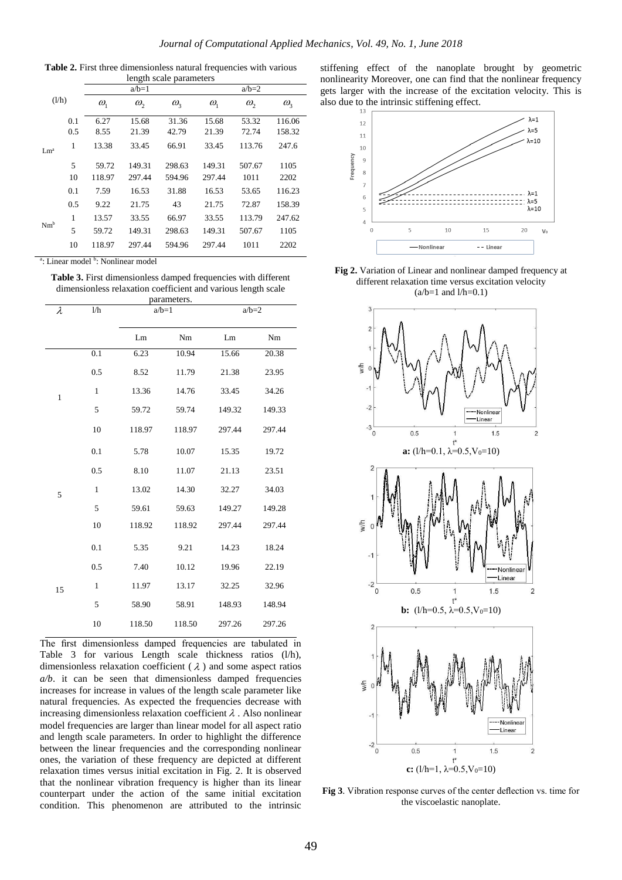**Table 2.** First three dimensionless natural frequencies with various length scale parameters

| (l/h)           |     | $a/b=1$      |          | $a/b=2$          |              |          |              |
|-----------------|-----|--------------|----------|------------------|--------------|----------|--------------|
|                 |     | $\omega_{1}$ | $\omega$ | $\omega_{\rm s}$ | $\omega_{1}$ | $\omega$ | $\omega_{3}$ |
|                 | 0.1 | 6.27         | 15.68    | 31.36            | 15.68        | 53.32    | 116.06       |
|                 | 0.5 | 8.55         | 21.39    | 42.79            | 21.39        | 72.74    | 158.32       |
| Lm <sup>a</sup> | 1   | 13.38        | 33.45    | 66.91            | 33.45        | 113.76   | 247.6        |
|                 | 5   | 59.72        | 149.31   | 298.63           | 149.31       | 507.67   | 1105         |
|                 | 10  | 118.97       | 297.44   | 594.96           | 297.44       | 1011     | 2202         |
|                 | 0.1 | 7.59         | 16.53    | 31.88            | 16.53        | 53.65    | 116.23       |
|                 | 0.5 | 9.22         | 21.75    | 43               | 21.75        | 72.87    | 158.39       |
|                 | 1   | 13.57        | 33.55    | 66.97            | 33.55        | 113.79   | 247.62       |
| $Nm^b$          | 5   | 59.72        | 149.31   | 298.63           | 149.31       | 507.67   | 1105         |
|                 | 10  | 118.97       | 297.44   | 594.96           | 297.44       | 1011     | 2202         |

a: Linear model b: Nonlinear model

**Table 3.** First dimensionless damped frequencies with different dimensionless relaxation coefficient and various length scale parameters.

| λ            | 1/h          | <br>$a/b=1$ |        | $a/b=2$ |        |
|--------------|--------------|-------------|--------|---------|--------|
|              |              | Lm          | Nm     | Lm      | Nm     |
|              | 0.1          | 6.23        | 10.94  | 15.66   | 20.38  |
|              | 0.5          | 8.52        | 11.79  | 21.38   | 23.95  |
| $\mathbf{1}$ | 1            | 13.36       | 14.76  | 33.45   | 34.26  |
|              | 5            | 59.72       | 59.74  | 149.32  | 149.33 |
|              | 10           | 118.97      | 118.97 | 297.44  | 297.44 |
|              | 0.1          | 5.78        | 10.07  | 15.35   | 19.72  |
|              | 0.5          | 8.10        | 11.07  | 21.13   | 23.51  |
| 5            | $\mathbf{1}$ | 13.02       | 14.30  | 32.27   | 34.03  |
|              | 5            | 59.61       | 59.63  | 149.27  | 149.28 |
|              | 10           | 118.92      | 118.92 | 297.44  | 297.44 |
|              | 0.1          | 5.35        | 9.21   | 14.23   | 18.24  |
|              | 0.5          | 7.40        | 10.12  | 19.96   | 22.19  |
| 15           | $\mathbf{1}$ | 11.97       | 13.17  | 32.25   | 32.96  |
|              | 5            | 58.90       | 58.91  | 148.93  | 148.94 |
|              | 10           | 118.50      | 118.50 | 297.26  | 297.26 |

The first dimensionless damped frequencies are tabulated in Table 3 for various Length scale thickness ratios (l/h), dimensionless relaxation coefficient ( $\lambda$ ) and some aspect ratios *a/b*. it can be seen that dimensionless damped frequencies increases for increase in values of the length scale parameter like natural frequencies. As expected the frequencies decrease with increasing dimensionless relaxation coefficient  $\lambda$ . Also nonlinear model frequencies are larger than linear model for all aspect ratio and length scale parameters. In order to highlight the difference between the linear frequencies and the corresponding nonlinear ones, the variation of these frequency are depicted at different relaxation times versus initial excitation in Fig. 2. It is observed that the nonlinear vibration frequency is higher than its linear counterpart under the action of the same initial excitation condition. This phenomenon are attributed to the intrinsic

stiffening effect of the nanoplate brought by geometric nonlinearity Moreover, one can find that the nonlinear frequency gets larger with the increase of the excitation velocity. This is also due to the intrinsic stiffening effect.



Fig 2. Variation of Linear and nonlinear damped frequency at different relaxation time versus excitation velocity  $(a/b=1$  and  $1/h=0.1$ )



**Fig 3**. Vibration response curves of the center deflection vs. time for the viscoelastic nanoplate.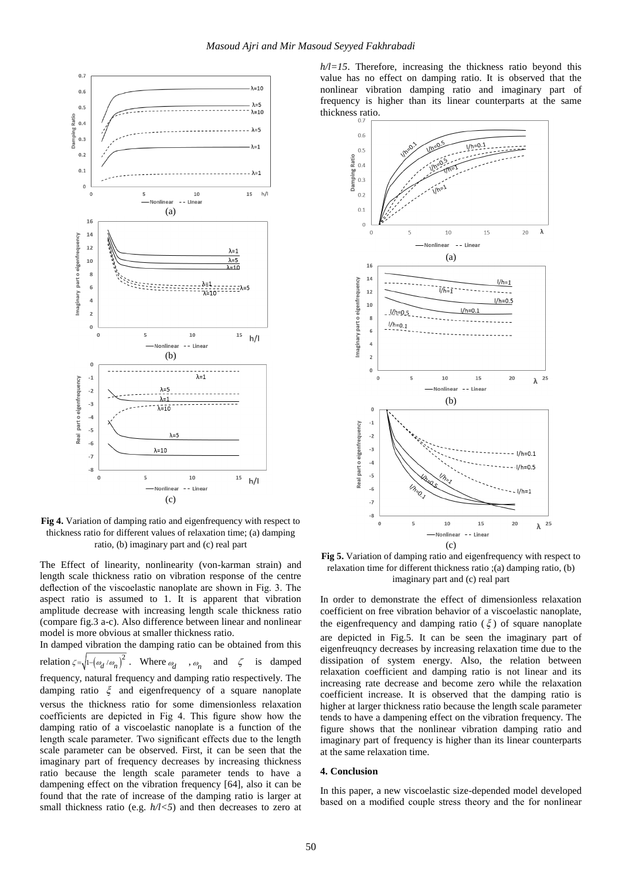



**Fig 4.** Variation of damping ratio and eigenfrequency with respect to thickness ratio for different values of relaxation time; (a) damping ratio, (b) imaginary part and (c) real part

The Effect of linearity, nonlinearity (von-karman strain) and length scale thickness ratio on vibration response of the centre deflection of the viscoelastic nanoplate are shown in Fig. 3. The aspect ratio is assumed to 1. It is apparent that vibration amplitude decrease with increasing length scale thickness ratio (compare fig.3 a-c). Also difference between linear and nonlinear model is more obvious at smaller thickness ratio.

In damped vibration the damping ratio can be obtained from this relation  $\zeta = \sqrt{1 - (\omega_d / \omega_n)^2}$ . Where  $\omega_d$ ,  $\omega_n$  and  $\zeta$  is damped frequency, natural frequency and damping ratio respectively. The damping ratio  $\xi$  and eigenfrequency of a square nanoplate versus the thickness ratio for some dimensionless relaxation coefficients are depicted in Fig 4. This figure show how the damping ratio of a viscoelastic nanoplate is a function of the length scale parameter. Two significant effects due to the length scale parameter can be observed. First, it can be seen that the imaginary part of frequency decreases by increasing thickness ratio because the length scale parameter tends to have a dampening effect on the vibration frequency [64], also it can be found that the rate of increase of the damping ratio is larger at small thickness ratio (e.g.  $h/1 < 5$ ) and then decreases to zero at

*h/l=15*. Therefore, increasing the thickness ratio beyond this value has no effect on damping ratio. It is observed that the nonlinear vibration damping ratio and imaginary part of frequency is higher than its linear counterparts at the same thickness ratio.



**Fig 5.** Variation of damping ratio and eigenfrequency with respect to relaxation time for different thickness ratio ;(a) damping ratio, (b) imaginary part and (c) real part

In order to demonstrate the effect of dimensionless relaxation coefficient on free vibration behavior of a viscoelastic nanoplate, the eigenfrequency and damping ratio  $(\xi)$  of square nanoplate are depicted in Fig.5. It can be seen the imaginary part of eigenfreuqncy decreases by increasing relaxation time due to the dissipation of system energy. Also, the relation between relaxation coefficient and damping ratio is not linear and its increasing rate decrease and become zero while the relaxation coefficient increase. It is observed that the damping ratio is higher at larger thickness ratio because the length scale parameter tends to have a dampening effect on the vibration frequency. The figure shows that the nonlinear vibration damping ratio and imaginary part of frequency is higher than its linear counterparts at the same relaxation time.

#### **4. Conclusion**

In this paper, a new viscoelastic size-depended model developed based on a modified couple stress theory and the for nonlinear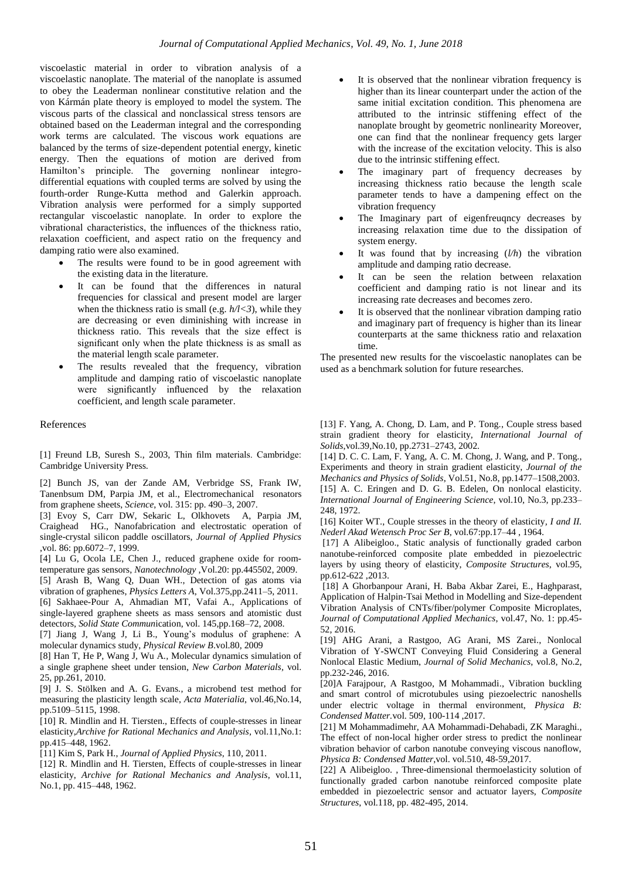viscoelastic material in order to vibration analysis of a viscoelastic nanoplate. The material of the nanoplate is assumed to obey the Leaderman nonlinear constitutive relation and the von Kármán plate theory is employed to model the system. The viscous parts of the classical and nonclassical stress tensors are obtained based on the Leaderman integral and the corresponding work terms are calculated. The viscous work equations are balanced by the terms of size-dependent potential energy, kinetic energy. Then the equations of motion are derived from Hamilton's principle. The governing nonlinear integrodifferential equations with coupled terms are solved by using the fourth-order Runge-Kutta method and Galerkin approach. Vibration analysis were performed for a simply supported rectangular viscoelastic nanoplate. In order to explore the vibrational characteristics, the influences of the thickness ratio, relaxation coefficient, and aspect ratio on the frequency and damping ratio were also examined.

- The results were found to be in good agreement with the existing data in the literature.
- It can be found that the differences in natural frequencies for classical and present model are larger when the thickness ratio is small (e.g.  $h/(\langle 3 \rangle)$ , while they are decreasing or even diminishing with increase in thickness ratio. This reveals that the size effect is significant only when the plate thickness is as small as the material length scale parameter.
- The results revealed that the frequency, vibration amplitude and damping ratio of viscoelastic nanoplate were significantly influenced by the relaxation coefficient, and length scale parameter.

#### References

[1] Freund LB, Suresh S., 2003, Thin film materials. Cambridge: Cambridge University Press.

[2] Bunch JS, van der Zande AM, Verbridge SS, Frank IW, Tanenbsum DM, Parpia JM, et al., Electromechanical resonators from graphene sheets, *Science*, vol. 315: pp. 490–3, 2007.

[3] Evoy S, Carr DW, Sekaric L, Olkhovets A, Parpia JM, Craighead HG., Nanofabrication and electrostatic operation of single-crystal silicon paddle oscillators, *Journal of Applied Physics* ,vol. 86: pp.6072–7, 1999.

[4] Lu G, Ocola LE, Chen J., reduced graphene oxide for roomtemperature gas sensors, *Nanotechnology* ,Vol.20: pp.445502, 2009.

[5] Arash B, Wang Q, Duan WH., Detection of gas atoms via vibration of graphenes, *Physics Letters A*, Vol.375,pp.2411–5, 2011.

[6] Sakhaee-Pour A, Ahmadian MT, Vafai A., Applications of single-layered graphene sheets as mass sensors and atomistic dust detectors, *Solid State Commun*ication, vol. 145,pp.168–72, 2008.

[7] Jiang J, Wang J, Li B., Young's modulus of graphene: A molecular dynamics study, *Physical Review B*.vol.80, 2009

[8] Han T, He P, Wang J, Wu A., Molecular dynamics simulation of a single graphene sheet under tension, *New Carbon Materials,* vol. 25, pp.261, 2010.

[9] J. S. Stölken and A. G. Evans., a microbend test method for measuring the plasticity length scale, *Acta Materialia*, vol.46,No.14, pp.5109–5115, 1998.

[10] R. Mindlin and H. Tiersten., Effects of couple-stresses in linear elasticity,*Archive for Rational Mechanics and Analysis*, vol.11,No.1: pp.415–448, 1962.

[11] Kim S, Park H., *Journal of Applied Physics*, 110, 2011.

[12] R. Mindlin and H. Tiersten, Effects of couple-stresses in linear elasticity, *Archive for Rational Mechanics and Analysis*, vol.11, No.1, pp. 415–448, 1962.

- It is observed that the nonlinear vibration frequency is higher than its linear counterpart under the action of the same initial excitation condition. This phenomena are attributed to the intrinsic stiffening effect of the nanoplate brought by geometric nonlinearity Moreover, one can find that the nonlinear frequency gets larger with the increase of the excitation velocity. This is also due to the intrinsic stiffening effect.
- The imaginary part of frequency decreases by increasing thickness ratio because the length scale parameter tends to have a dampening effect on the vibration frequency
- The Imaginary part of eigenfreuqncy decreases by increasing relaxation time due to the dissipation of system energy.
- It was found that by increasing (*l/h*) the vibration amplitude and damping ratio decrease.
- It can be seen the relation between relaxation coefficient and damping ratio is not linear and its increasing rate decreases and becomes zero.
- It is observed that the nonlinear vibration damping ratio and imaginary part of frequency is higher than its linear counterparts at the same thickness ratio and relaxation time.

The presented new results for the viscoelastic nanoplates can be used as a benchmark solution for future researches.

[13] F. Yang, A. Chong, D. Lam, and P. Tong., Couple stress based strain gradient theory for elasticity, *International Journal of Solids*,vol.39,No.10, pp.2731–2743, 2002.

[14] D. C. C. Lam, F. Yang, A. C. M. Chong, J. Wang, and P. Tong., Experiments and theory in strain gradient elasticity, *Journal of the Mechanics and Physics of Solids*, Vol.51, No.8, pp.1477–1508,2003. [15] A. C. Eringen and D. G. B. Edelen, On nonlocal elasticity. *International Journal of Engineering Science*, vol.10, No.3, pp.233– 248, 1972.

[16] Koiter WT., Couple stresses in the theory of elasticity*, I and II. Nederl Akad Wetensch Proc Ser B*, vol.67:pp.17–44 , 1964.

[17] A Alibeigloo., Static analysis of functionally graded carbon nanotube-reinforced composite plate embedded in piezoelectric layers by using theory of elasticity, *Composite Structures*, vol.95, pp.612-622 ,2013.

[18] A Ghorbanpour Arani, H. Baba Akbar Zarei, E., Haghparast, Application of Halpin-Tsai Method in Modelling and Size-dependent Vibration Analysis of CNTs/fiber/polymer Composite Microplates, *Journal of Computational Applied Mechanics*, vol.47, No. 1: pp.45- 52, 2016.

[19] AHG Arani, a Rastgoo, AG Arani, MS Zarei., Nonlocal Vibration of Y-SWCNT Conveying Fluid Considering a General Nonlocal Elastic Medium, *Journal of Solid Mechanics*, vol.8, No.2, pp.232-246, 2016.

[20]A Farajpour, A Rastgoo, M Mohammadi., Vibration buckling and smart control of microtubules using piezoelectric nanoshells under electric voltage in thermal environment, *Physica B: Condensed Matter.*vol. 509, 100-114 ,2017.

[21] M Mohammadimehr, AA Mohammadi-Dehabadi, ZK Maraghi., The effect of non-local higher order stress to predict the nonlinear vibration behavior of carbon nanotube conveying viscous nanoflow, *Physica B: Condensed Matter*,vol. vol.510, 48-59,2017.

[22] A Alibeigloo. , Three-dimensional thermoelasticity solution of functionally graded carbon nanotube reinforced composite plate embedded in piezoelectric sensor and actuator layers, *Composite Structures*, vol.118, pp. 482-495, 2014.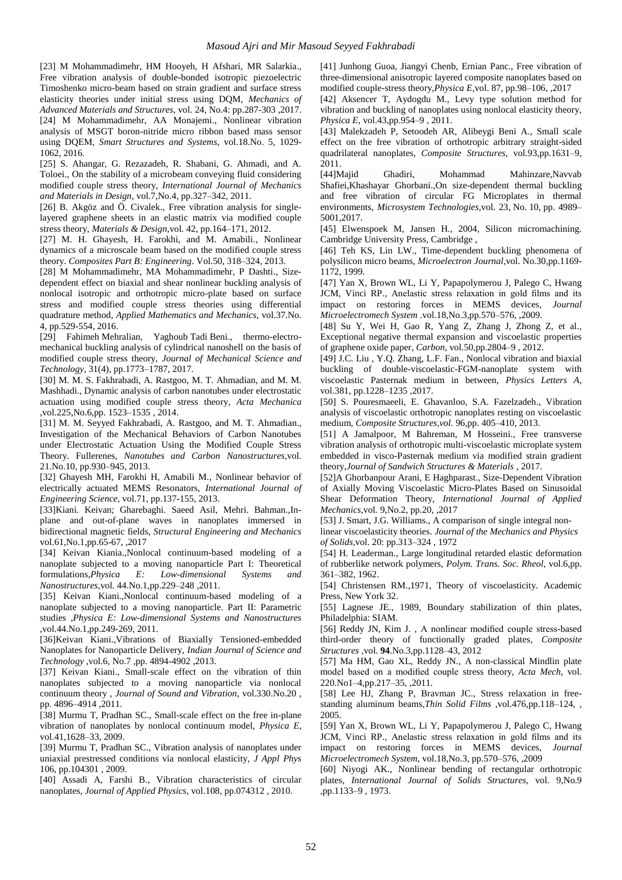[23] M Mohammadimehr, HM Hooyeh, H Afshari, MR Salarkia., Free vibration analysis of double-bonded isotropic piezoelectric Timoshenko micro-beam based on strain gradient and surface stress elasticity theories under initial stress using DQM, *Mechanics of Advanced Materials and Structures*, vol. 24, No.4: pp.287-303 ,2017. [24] M Mohammadimehr, AA Monajemi., Nonlinear vibration analysis of MSGT boron-nitride micro ribbon based mass sensor using DQEM, *Smart Structures and Systems*, vol.18.No. 5, 1029- 1062, 2016.

[25] S. Ahangar, G. Rezazadeh, R. Shabani, G. Ahmadi, and A. Toloei., On the stability of a microbeam conveying fluid considering modified couple stress theory, *International Journal of Mechanics and Materials in Design*, vol.7,No.4, pp.327–342, 2011.

[26] B. Akgöz and Ö. Civalek., Free vibration analysis for singlelayered graphene sheets in an elastic matrix via modified couple stress theory, *Materials & Design,*vol*.* 42, pp.164–171, 2012.

[27] M. H. Ghayesh, H. Farokhi, and M. Amabili., Nonlinear dynamics of a microscale beam based on the modified couple stress theory. *Composites Part B: Engineering*. Vol.50, 318–324, 2013.

[28] M Mohammadimehr, MA Mohammadimehr, P Dashti., Sizedependent effect on biaxial and shear nonlinear buckling analysis of nonlocal isotropic and orthotropic micro-plate based on surface stress and modified couple stress theories using differential quadrature method, *Applied Mathematics and Mechanics*, vol.37.No. 4, pp.529-554, 2016.

[29] Fahimeh Mehralian, Yaghoub Tadi Beni., thermo-electromechanical buckling analysis of cylindrical nanoshell on the basis of modified couple stress theory, *Journal of Mechanical Science and Technology*, 31(4), pp.1773–1787, 2017.

[30] M. M. S. Fakhrabadi, A. Rastgoo, M. T. Ahmadian, and M. M. Mashhadi., Dynamic analysis of carbon nanotubes under electrostatic actuation using modified couple stress theory, *Acta Mechanica* ,vol.225,No.6,pp. 1523–1535 , 2014.

[31] M. M. Seyyed Fakhrabadi, A. Rastgoo, and M. T. Ahmadian., Investigation of the Mechanical Behaviors of Carbon Nanotubes under Electrostatic Actuation Using the Modified Couple Stress Theory. Fullerenes, *Nanotubes and Carbon Nanostructures,*vol. 21.No.10, pp.930–945, 2013.

[32] Ghayesh MH, Farokhi H, Amabili M., Nonlinear behavior of electrically actuated MEMS Resonators, *International Journal of Engineering Science*, vol.71, pp.137-155, 2013.

[33]Kiani. Keivan; Gharebaghi. Saeed Asil, Mehri. Bahman.,Inplane and out-of-plane waves in nanoplates immersed in bidirectional magnetic fields, *Structural Engineering and Mechanics* vol.61,No.1,pp.65-67, ,2017

[34] Keivan Kiania.,Nonlocal continuum-based modeling of a nanoplate subjected to a moving nanoparticle Part I: Theoretical formulations,*Physica E: Low-dimensional Systems and Nanostructures,*vol*.* 44.No.1,pp.229–248 ,2011.

[35] Keivan Kiani.,Nonlocal continuum-based modeling of a nanoplate subjected to a moving nanoparticle. Part II: Parametric studies ,*Physica E: Low-dimensional Systems and Nanostructures* ,vol.44.No.1,pp.249-269, 2011.

[36]Keivan Kiani.,Vibrations of Biaxially Tensioned-embedded Nanoplates for Nanoparticle Delivery, *Indian Journal of Science and Technology* ,vol.6, No.7 ,pp. 4894-4902 ,2013.

[37] Keivan Kiani., Small-scale effect on the vibration of thin nanoplates subjected to a moving nanoparticle via nonlocal continuum theory , *Journal of Sound and Vibration*, vol.330.No.20 , pp. 4896–4914 ,2011.

[38] Murmu T, Pradhan SC., Small-scale effect on the free in-plane vibration of nanoplates by nonlocal continuum model, *Physica E*, vol.41,1628–33, 2009.

[39] Murmu T, Pradhan SC., Vibration analysis of nanoplates under uniaxial prestressed conditions via nonlocal elasticity, *J Appl Phys* 106, pp.104301 , 2009.

[40] Assadi A, Farshi B., Vibration characteristics of circular nanoplates, *Journal of Applied Physics*, vol.108, pp.074312 , 2010.

[41] Junhong Guoa, Jiangyi Chenb, Ernian Panc., Free vibration of three-dimensional anisotropic layered composite nanoplates based on modified couple-stress theory,*Physica E*,vol. 87, pp.98–106, ,2017

[42] Aksencer T, Aydogdu M., Levy type solution method for vibration and buckling of nanoplates using nonlocal elasticity theory, *Physica E*, vol.43,pp.954–9 , 2011.

[43] Malekzadeh P, Setoodeh AR, Alibeygi Beni A., Small scale effect on the free vibration of orthotropic arbitrary straight-sided quadrilateral nanoplates, *Composite Structures*, vol.93,pp.1631–9, 2011.

[44]Majid Ghadiri, Mohammad Mahinzare,Navvab Shafiei,Khashayar Ghorbani.,On size-dependent thermal buckling and free vibration of circular FG Microplates in thermal environments, *Microsystem Technologies*,vol. 23, No. 10, pp. 4989– 5001,2017.

[45] Elwenspoek M, Jansen H., 2004, Silicon micromachining. Cambridge University Press, Cambridge ,

[46] Teh KS, Lin LW., Time-dependent buckling phenomena of polysilicon micro beams, *Microelectron Journal*,vol. No.30,pp.1169- 1172, 1999.

[47] Yan X, Brown WL, Li Y, Papapolymerou J, Palego C, Hwang JCM, Vinci RP., Anelastic stress relaxation in gold films and its impact on restoring forces in MEMS devices, *Journal Microelectromech System* .vol.18,No.3,pp.570–576, ,2009.

[48] Su Y, Wei H, Gao R, Yang Z, Zhang J, Zhong Z, et al., Exceptional negative thermal expansion and viscoelastic properties of graphene oxide paper, *Carbon*, vol.50,pp.2804–9 , 2012.

[49] J.C. Liu , Y.Q. Zhang, L.F. Fan., Nonlocal vibration and biaxial buckling of double-viscoelastic-FGM-nanoplate system with viscoelastic Pasternak medium in between, *Physics Letters A*, vol.381, pp.1228–1235 ,2017.

[50] S. Pouresmaeeli, E. Ghavanloo, S.A. Fazelzadeh., Vibration analysis of viscoelastic orthotropic nanoplates resting on viscoelastic medium, *Composite Structures,vol.* 96,pp. 405–410, 2013.

[51] A Jamalpoor, M Bahreman, M Hosseini., Free transverse vibration analysis of orthotropic multi-viscoelastic microplate system embedded in visco-Pasternak medium via modified strain gradient theory,*Journal of Sandwich Structures & Materials* , 2017.

[52]A Ghorbanpour Arani, E Haghparast., Size-Dependent Vibration of Axially Moving Viscoelastic Micro-Plates Based on Sinusoidal Shear Deformation Theory, *International Journal of Applied Mechanics,*vol*.* 9,No.2, pp.20, ,2017

[53] J. Smart, J.G. Williams., A comparison of single integral nonlinear viscoelasticity theories. *Journal of the Mechanics and Physics of Solids*,vol. 20: pp.313–324 , 1972

[54] H. Leaderman., Large longitudinal retarded elastic deformation of rubberlike network polymers, *Polym. Trans. Soc. Rheol,* vol.6,pp. 361–382, 1962.

[54] Christensen RM.,1971, Theory of viscoelasticity. Academic Press, New York 32.

[55] Lagnese JE., 1989, Boundary stabilization of thin plates, Philadelphia: SIAM.

[56] Reddy JN, Kim J. , A nonlinear modified couple stress-based third-order theory of functionally graded plates, *Composite Structures* ,vol. **94**.No.3,pp.1128–43, 2012

[57] Ma HM, Gao XL, Reddy JN., A non-classical Mindlin plate model based on a modified couple stress theory, *Acta Mech*, vol. 220.No1–4,pp.217–35, ,2011.

[58] Lee HJ, Zhang P, Bravman JC., Stress relaxation in freestanding aluminum beams,*Thin Solid Films* ,vol.476,pp.118–124, , 2005.

[59] Yan X, Brown WL, Li Y, Papapolymerou J, Palego C, Hwang JCM, Vinci RP., Anelastic stress relaxation in gold films and its impact on restoring forces in MEMS devices, *Journal Microelectromech Syst*e*m*, vol.18,No.3, pp.570–576, ,2009

[60] Niyogi AK., Nonlinear bending of rectangular orthotropic plates, *International Journal of Solids Structures,* vol. 9,No.9 ,pp.1133–9 , 1973.